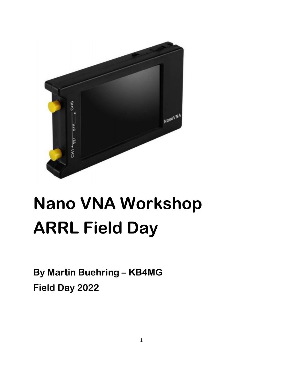

# **Nano VNA Workshop ARRL Field Day**

**By Martin Buehring – KB4MG Field Day 2022**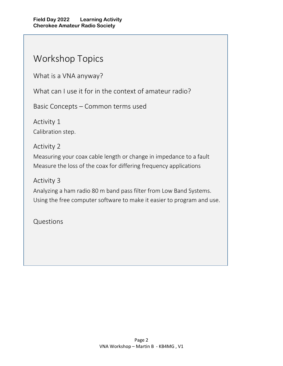# Workshop Topics

What is a VNA anyway?

What can I use it for in the context of amateur radio?

Basic Concepts – Common terms used

Activity 1 Calibration step.

Activity 2

Measuring your coax cable length or change in impedance to a fault Measure the loss of the coax for differing frequency applications

Activity 3

Analyzing a ham radio 80 m band pass filter from Low Band Systems. Using the free computer software to make it easier to program and use.

Questions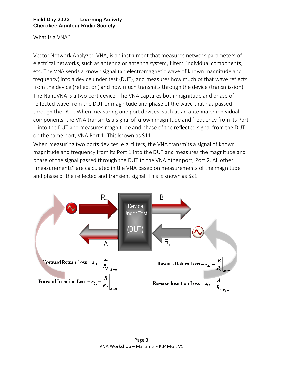What is a VNA?

Vector Network Analyzer, VNA, is an instrument that measures network parameters of electrical networks, such as antenna or antenna system, filters, individual components, etc. The VNA sends a known signal (an electromagnetic wave of known magnitude and frequency) into a device under test (DUT), and measures how much of that wave reflects from the device (reflection) and how much transmits through the device (transmission). The NanoVNA is a two port device. The VNA captures both magnitude and phase of reflected wave from the DUT or magnitude and phase of the wave that has passed through the DUT. When measuring one port devices, such as an antenna or individual components, the VNA transmits a signal of known magnitude and frequency from its Port 1 into the DUT and measures magnitude and phase of the reflected signal from the DUT on the same port, VNA Port 1. This known as S11.

When measuring two ports devices, e.g. filters, the VNA transmits a signal of known magnitude and frequency from its Port 1 into the DUT and measures the magnitude and phase of the signal passed through the DUT to the VNA other port, Port 2. All other ''measurements'' are calculated in the VNA based on measurements of the magnitude and phase of the reflected and transient signal. This is known as S21.

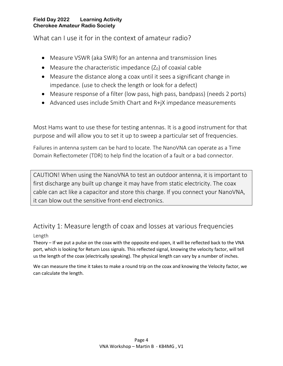What can I use it for in the context of amateur radio?

- Measure VSWR (aka SWR) for an antenna and transmission lines
- Measure the characteristic impedance  $(Z_0)$  of coaxial cable
- Measure the distance along a coax until it sees a significant change in impedance. (use to check the length or look for a defect)
- Measure response of a filter (low pass, high pass, bandpass) (needs 2 ports)
- Advanced uses include Smith Chart and R+jX impedance measurements

Most Hams want to use these for testing antennas. It is a good instrument for that purpose and will allow you to set it up to sweep a particular set of frequencies.

Failures in antenna system can be hard to locate. The NanoVNA can operate as a Time Domain Reflectometer (TDR) to help find the location of a fault or a bad connector.

CAUTION! When using the NanoVNA to test an outdoor antenna, it is important to first discharge any built up change it may have from static electricity. The coax cable can act like a capacitor and store this charge. If you connect your NanoVNA, it can blow out the sensitive front-end electronics.

# Activity 1: Measure length of coax and losses at various frequencies

# Length

Theory – If we put a pulse on the coax with the opposite end open, it will be reflected back to the VNA port, which is looking for Return Loss signals. This reflected signal, knowing the velocity factor, will tell us the length of the coax (electrically speaking). The physical length can vary by a number of inches.

We can measure the time it takes to make a round trip on the coax and knowing the Velocity factor, we can calculate the length.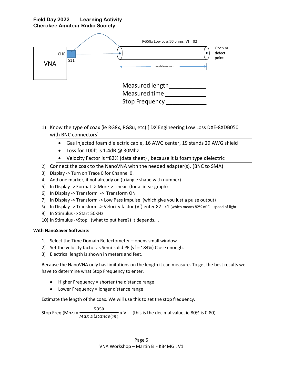

- 1) Know the type of coax (ie RG8x, RG8u, etc) [ DX Engineering Low Loss DXE-8XDB050 with BNC connectors]
	- Gas injected foam dielectric cable, 16 AWG center, 19 stands 29 AWG shield
	- Loss for 100ft is 1.4dB @ 30Mhz
	- Velocity Factor is ~82% (data sheet), because it is foam type dielectric
- 2) Connect the coax to the NanoVNA with the needed adapter(s). (BNC to SMA)
- 3) Display -> Turn on Trace 0 for Channel 0.
- 4) Add one marker, if not already on (triangle shape with number)
- 5) In Display -> Format -> More-> Linear (for a linear graph)
- 6) In Display -> Transform -> Transform ON
- 7) In Display -> Transform -> Low Pass Impulse (which give you just a pulse output)
- 8) In Display -> Transform .> Velocity factor (Vf) enter 82 x1 (which means 82% of C speed of light)
- 9) In Stimulus -> Start 50KHz
- 10) In Stimulus ->Stop (what to put here?) It depends….

#### **With NanoSaver Software:**

- 1) Select the Time Domain Reflectometer opens small window
- 2) Set the velocity factor as Semi-solid PE (vf =  $\approx$ 84%) Close enough.
- 3) Electrical length is shown in meters and feet.

Because the NanoVNA only has limitations on the length it can measure. To get the best results we have to determine what Stop Frequency to enter.

- Higher Frequency = shorter the distance range
- Lower Frequency = longer distance range

Estimate the length of the coax. We will use this to set the stop frequency.

Stop Freq (Mhz) =  $\frac{5850}{M}$  $\overline{Max\ Distance(m)}}$  x Vf (this is the decimal value, ie 80% is 0.80)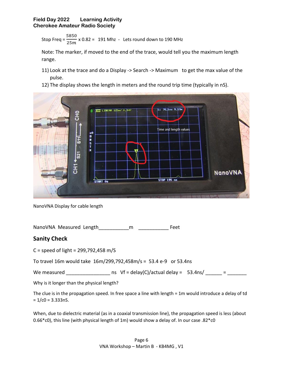Stop Freq = 
$$
\frac{5850}{25m}
$$
 x 0.82 = 191 Mhz - Lets round down to 190 MHz

Note: The marker, if moved to the end of the trace, would tell you the maximum length range.

- 11) Look at the trace and do a Display -> Search -> Maximum to get the max value of the pulse.
- 12) The display shows the length in meters and the round trip time (typically in nS).



NanoVNA Display for cable length

NanoVNA Measured Length and manufactured manufactured manufactured feet

## **Sanity Check**

C = speed of light =  $299,792,458$  m/S

To travel 16m would take 16m/299,792,458m/s = 53.4 e-9 or 53.4ns

We measured \_\_\_\_\_\_\_\_\_\_\_\_\_\_\_\_\_\_\_\_\_ ns Vf = delay(C)/actual delay =  $53.4$ ns/ \_\_\_\_\_\_ = \_\_\_\_\_\_\_\_

Why is it longer than the physical length?

| The clue is in the propagation speed. In free space a line with length $= 1$ m would introduce a delay of td |  |  |
|--------------------------------------------------------------------------------------------------------------|--|--|
| $= 1$ /c0 = 3.333nS.                                                                                         |  |  |

When, due to dielectric material (as in a coaxial transmission line), the propagation speed is less (about 0.66\*c0), this line (with physical length of 1m) would show a delay of. In our case .82\*c0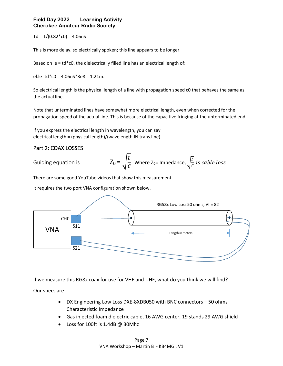$Td = 1/(0.82 * c0) = 4.06nS$ 

This is more delay, so electrically spoken; this line appears to be longer.

Based on  $le = td*c0$ , the dielectrically filled line has an electrical length of:

el.le=td\*c0 = 4.06nS\*3e8 = 1.21m.

So electrical length is the physical length of a line with propagation speed c0 that behaves the same as the actual line.

Note that unterminated lines have somewhat more electrical length, even when corrected for the propagation speed of the actual line. This is because of the capacitive fringing at the unterminated end.

If you express the electrical length in wavelength, you can say electrical length = (physical length)/(wavelength IN trans.line)

## Part 2: COAX LOSSES

Guiding equation is

$$
Z_0 = \sqrt{\frac{L}{C}}
$$
 Where  $Z_0$ = Impedance,  $\sqrt{\frac{L}{C}}$  is cable loss

There are some good YouTube videos that show this measurement.

It requires the two port VNA configuration shown below.



If we measure this RG8x coax for use for VHF and UHF, what do you think we will find?

Our specs are :

- DX Engineering Low Loss DXE-8XDB050 with BNC connectors 50 ohms Characteristic Impedance
- Gas injected foam dielectric cable, 16 AWG center, 19 stands 29 AWG shield
- Loss for 100ft is 1.4dB @ 30Mhz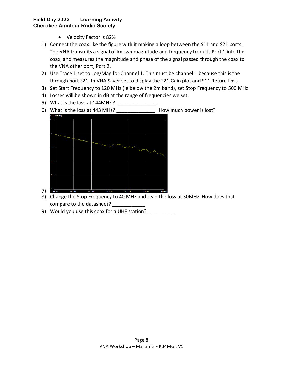- Velocity Factor is 82%
- 1) Connect the coax like the figure with it making a loop between the S11 and S21 ports. The VNA transmits a signal of known magnitude and frequency from its Port 1 into the coax, and measures the magnitude and phase of the signal passed through the coax to the VNA other port, Port 2.
- 2) Use Trace 1 set to Log/Mag for Channel 1. This must be channel 1 because this is the through port S21. In VNA Saver set to display the S21 Gain plot and S11 Return Loss
- 3) Set Start Frequency to 120 MHz (ie below the 2m band), set Stop Frequency to 500 MHz
- 4) Losses will be shown in dB at the range of frequencies we set.
- 5) What is the loss at 144MHz ?
- 6) What is the loss at 443 MHz? How much power is lost?



- 8) Change the Stop Frequency to 40 MHz and read the loss at 30MHz. How does that compare to the datasheet? \_\_\_\_\_\_\_\_\_\_\_\_
- 9) Would you use this coax for a UHF station? \_\_\_\_\_\_\_\_\_\_\_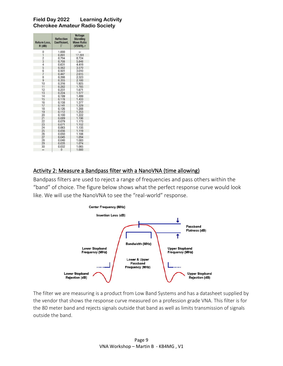| <b>Return Loss,</b><br>$R$ (dB) | <b>Reflection</b><br><b>Coefficient.</b><br>Γ | <b>Voltage</b><br><b>Standing</b><br><b>Wave Ratio</b><br>(VSWR), r |
|---------------------------------|-----------------------------------------------|---------------------------------------------------------------------|
| 0                               | 1.000                                         | $\infty$                                                            |
| $\mathbf{1}$                    | 0.891                                         | 17.391                                                              |
|                                 | 0.794                                         | 8.724                                                               |
| $\frac{2}{3}$                   | 0.708                                         | 5.848                                                               |
| $\overline{4}$                  | 0.631                                         | 4.419                                                               |
| 5                               | 0.562                                         | 3.570                                                               |
| 6                               | 0.501                                         | 3.010                                                               |
| $\overline{7}$                  | 0.447                                         | 2.615                                                               |
| 8                               | 0.398                                         | 2.323                                                               |
| 9                               | 0.355                                         | 2.100                                                               |
| 10                              | 0.316                                         | 1.925                                                               |
| 11                              | 0.282                                         | 1.785                                                               |
| 12                              | 0.251                                         | 1.671                                                               |
| 13                              | 0.224                                         | 1.577                                                               |
| 14                              | 0.199                                         | 1.499                                                               |
| 15                              | 0.178                                         | 1.433                                                               |
| 16                              | 0.158                                         | 1.377                                                               |
| 17                              | 0.141                                         | 1.329                                                               |
| 18                              | 0.126                                         | 1.288                                                               |
| 19                              | 0.112                                         | 1.253                                                               |
| 20                              | 0.100                                         | 1.222                                                               |
| 21                              | 0.089                                         | 1.196                                                               |
| 22                              | 0.079                                         | 1.173                                                               |
| 23                              | 0.071                                         | 1.152                                                               |
| 24                              | 0.063                                         | 1.135                                                               |
| 25                              | 0.056                                         | 1.119                                                               |
| 26                              | 0.050                                         | 1.106                                                               |
| 27                              | 0.045                                         | 1.094                                                               |
| 28                              | 0.040                                         | 1.083                                                               |
| 29                              | 0.035                                         | 1.074                                                               |
| 30                              | 0.032                                         | 1.065                                                               |
| $\infty$                        | $\Omega$                                      | 1.000                                                               |

## Activity 2: Measure a Bandpass filter with a NanoVNA (time allowing)

Bandpass filters are used to reject a range of frequencies and pass others within the "band" of choice. The figure below shows what the perfect response curve would look like. We will use the NanoVNA to see the "real-world" response.



The filter we are measuring is a product from Low Band Systems and has a datasheet supplied by the vendor that shows the response curve measured on a profession grade VNA. This filter is for the 80 meter band and rejects signals outside that band as well as limits transmission of signals outside the band.